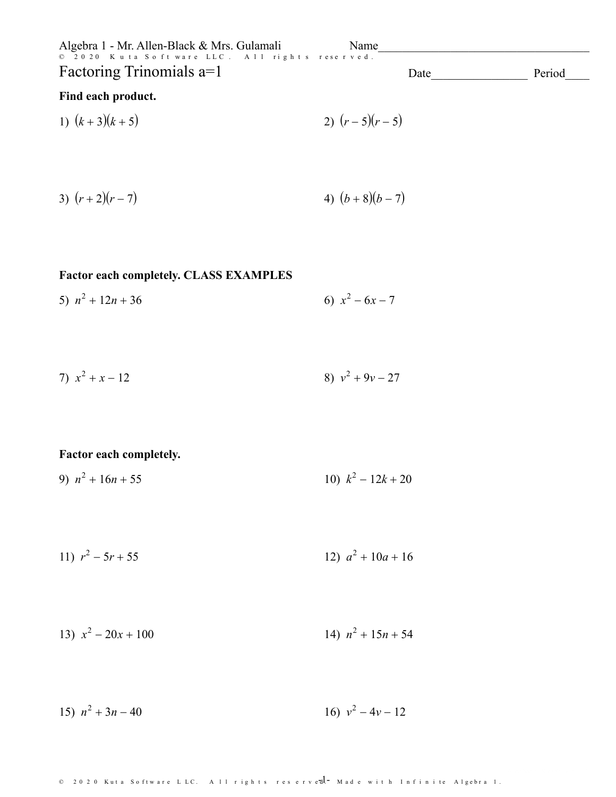| Algebra 1 - Mr. Allen-Black & Mrs. Gulamali    | <b>Name</b> |      |        |
|------------------------------------------------|-------------|------|--------|
| © 2020 Kuta Software LLC. All rights reserved. |             |      |        |
| Factoring Trinomials a=1                       |             | Date | Period |

# Find each product.

1) 
$$
(k+3)(k+5)
$$
  
2)  $(r-5)(r-5)$ 

3) 
$$
(r+2)(r-7)
$$
 4)  $(b+8)(b-7)$ 

## Factor each completely. CLASS EXAMPLES

5) 
$$
n^2 + 12n + 36
$$
   
6)  $x^2 - 6x - 7$ 

7) 
$$
x^2 + x - 12
$$
  
8)  $v^2 + 9v - 27$ 

#### Factor each completely.

- 9)  $n^2 + 16n + 55$ 10)  $k^2 - 12k + 20$
- 11)  $r^2 5r + 55$ 12)  $a^2 + 10a + 16$

13) 
$$
x^2 - 20x + 100
$$
  
14)  $n^2 + 15n + 54$ 

16)  $v^2 - 4v - 12$ 15)  $n^2 + 3n - 40$ 

© 2020 Kuta Software LLC. All rights reserved - Made with Infinite Algebra 1.